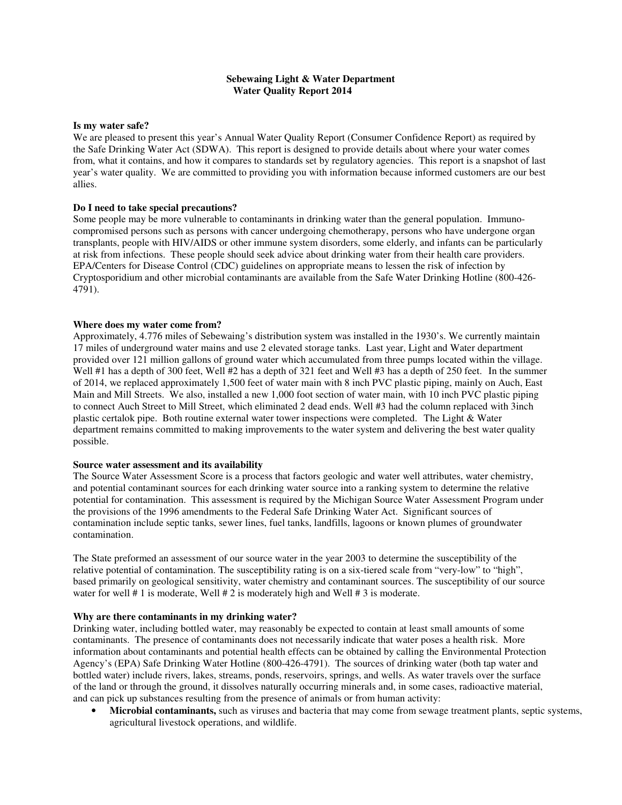## **Sebewaing Light & Water Department Water Quality Report 2014**

#### **Is my water safe?**

We are pleased to present this year's Annual Water Quality Report (Consumer Confidence Report) as required by the Safe Drinking Water Act (SDWA). This report is designed to provide details about where your water comes from, what it contains, and how it compares to standards set by regulatory agencies. This report is a snapshot of last year's water quality. We are committed to providing you with information because informed customers are our best allies.

### **Do I need to take special precautions?**

Some people may be more vulnerable to contaminants in drinking water than the general population. Immunocompromised persons such as persons with cancer undergoing chemotherapy, persons who have undergone organ transplants, people with HIV/AIDS or other immune system disorders, some elderly, and infants can be particularly at risk from infections. These people should seek advice about drinking water from their health care providers. EPA/Centers for Disease Control (CDC) guidelines on appropriate means to lessen the risk of infection by Cryptosporidium and other microbial contaminants are available from the Safe Water Drinking Hotline (800-426- 4791).

#### **Where does my water come from?**

Approximately, 4.776 miles of Sebewaing's distribution system was installed in the 1930's. We currently maintain 17 miles of underground water mains and use 2 elevated storage tanks. Last year, Light and Water department provided over 121 million gallons of ground water which accumulated from three pumps located within the village. Well #1 has a depth of 300 feet, Well #2 has a depth of 321 feet and Well #3 has a depth of 250 feet. In the summer of 2014, we replaced approximately 1,500 feet of water main with 8 inch PVC plastic piping, mainly on Auch, East Main and Mill Streets. We also, installed a new 1,000 foot section of water main, with 10 inch PVC plastic piping to connect Auch Street to Mill Street, which eliminated 2 dead ends. Well #3 had the column replaced with 3inch plastic certalok pipe. Both routine external water tower inspections were completed. The Light & Water department remains committed to making improvements to the water system and delivering the best water quality possible.

#### **Source water assessment and its availability**

The Source Water Assessment Score is a process that factors geologic and water well attributes, water chemistry, and potential contaminant sources for each drinking water source into a ranking system to determine the relative potential for contamination. This assessment is required by the Michigan Source Water Assessment Program under the provisions of the 1996 amendments to the Federal Safe Drinking Water Act. Significant sources of contamination include septic tanks, sewer lines, fuel tanks, landfills, lagoons or known plumes of groundwater contamination.

The State preformed an assessment of our source water in the year 2003 to determine the susceptibility of the relative potential of contamination. The susceptibility rating is on a six-tiered scale from "very-low" to "high", based primarily on geological sensitivity, water chemistry and contaminant sources. The susceptibility of our source water for well # 1 is moderate, Well # 2 is moderately high and Well # 3 is moderate.

#### **Why are there contaminants in my drinking water?**

Drinking water, including bottled water, may reasonably be expected to contain at least small amounts of some contaminants. The presence of contaminants does not necessarily indicate that water poses a health risk. More information about contaminants and potential health effects can be obtained by calling the Environmental Protection Agency's (EPA) Safe Drinking Water Hotline (800-426-4791). The sources of drinking water (both tap water and bottled water) include rivers, lakes, streams, ponds, reservoirs, springs, and wells. As water travels over the surface of the land or through the ground, it dissolves naturally occurring minerals and, in some cases, radioactive material, and can pick up substances resulting from the presence of animals or from human activity:

• **Microbial contaminants,** such as viruses and bacteria that may come from sewage treatment plants, septic systems, agricultural livestock operations, and wildlife.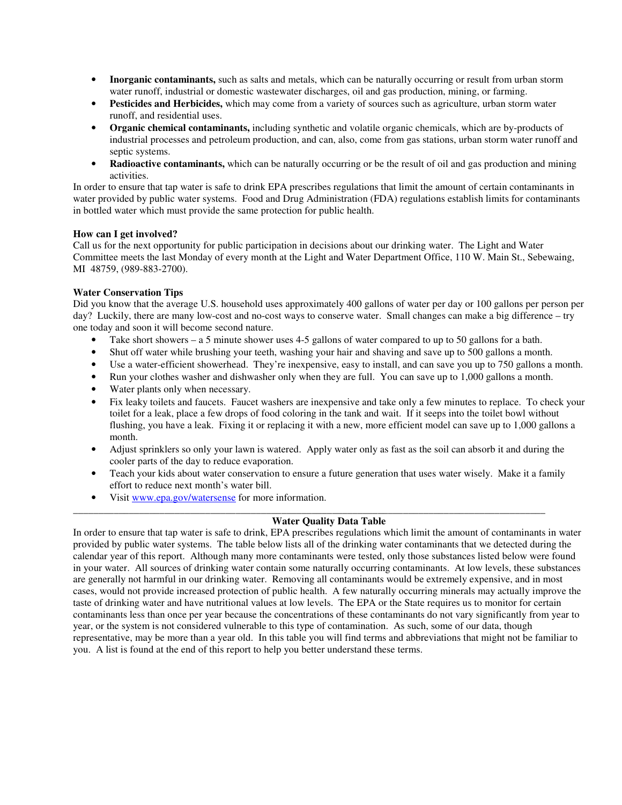- **Inorganic contaminants,** such as salts and metals, which can be naturally occurring or result from urban storm water runoff, industrial or domestic wastewater discharges, oil and gas production, mining, or farming.
- **Pesticides and Herbicides,** which may come from a variety of sources such as agriculture, urban storm water runoff, and residential uses.
- **Organic chemical contaminants,** including synthetic and volatile organic chemicals, which are by-products of industrial processes and petroleum production, and can, also, come from gas stations, urban storm water runoff and septic systems.
- **Radioactive contaminants,** which can be naturally occurring or be the result of oil and gas production and mining activities.

In order to ensure that tap water is safe to drink EPA prescribes regulations that limit the amount of certain contaminants in water provided by public water systems. Food and Drug Administration (FDA) regulations establish limits for contaminants in bottled water which must provide the same protection for public health.

### **How can I get involved?**

Call us for the next opportunity for public participation in decisions about our drinking water. The Light and Water Committee meets the last Monday of every month at the Light and Water Department Office, 110 W. Main St., Sebewaing, MI 48759, (989-883-2700).

## **Water Conservation Tips**

Did you know that the average U.S. household uses approximately 400 gallons of water per day or 100 gallons per person per day? Luckily, there are many low-cost and no-cost ways to conserve water. Small changes can make a big difference – try one today and soon it will become second nature.

- Take short showers a 5 minute shower uses 4-5 gallons of water compared to up to 50 gallons for a bath.
- Shut off water while brushing your teeth, washing your hair and shaving and save up to 500 gallons a month.
- Use a water-efficient showerhead. They're inexpensive, easy to install, and can save you up to 750 gallons a month.
- Run your clothes washer and dishwasher only when they are full. You can save up to 1,000 gallons a month.
- Water plants only when necessary.
- Fix leaky toilets and faucets. Faucet washers are inexpensive and take only a few minutes to replace. To check your toilet for a leak, place a few drops of food coloring in the tank and wait. If it seeps into the toilet bowl without flushing, you have a leak. Fixing it or replacing it with a new, more efficient model can save up to 1,000 gallons a month.
- Adjust sprinklers so only your lawn is watered. Apply water only as fast as the soil can absorb it and during the cooler parts of the day to reduce evaporation.
- Teach your kids about water conservation to ensure a future generation that uses water wisely. Make it a family effort to reduce next month's water bill.
- Visit www.epa.gov/watersense for more information.

## **Water Quality Data Table**

\_\_\_\_\_\_\_\_\_\_\_\_\_\_\_\_\_\_\_\_\_\_\_\_\_\_\_\_\_\_\_\_\_\_\_\_\_\_\_\_\_\_\_\_\_\_\_\_\_\_\_\_\_\_\_\_\_\_\_\_\_\_\_\_\_\_\_\_\_\_\_\_\_\_\_\_\_\_\_\_\_\_\_\_\_\_\_\_\_\_\_\_\_

In order to ensure that tap water is safe to drink, EPA prescribes regulations which limit the amount of contaminants in water provided by public water systems. The table below lists all of the drinking water contaminants that we detected during the calendar year of this report. Although many more contaminants were tested, only those substances listed below were found in your water. All sources of drinking water contain some naturally occurring contaminants. At low levels, these substances are generally not harmful in our drinking water. Removing all contaminants would be extremely expensive, and in most cases, would not provide increased protection of public health. A few naturally occurring minerals may actually improve the taste of drinking water and have nutritional values at low levels. The EPA or the State requires us to monitor for certain contaminants less than once per year because the concentrations of these contaminants do not vary significantly from year to year, or the system is not considered vulnerable to this type of contamination. As such, some of our data, though representative, may be more than a year old. In this table you will find terms and abbreviations that might not be familiar to you. A list is found at the end of this report to help you better understand these terms.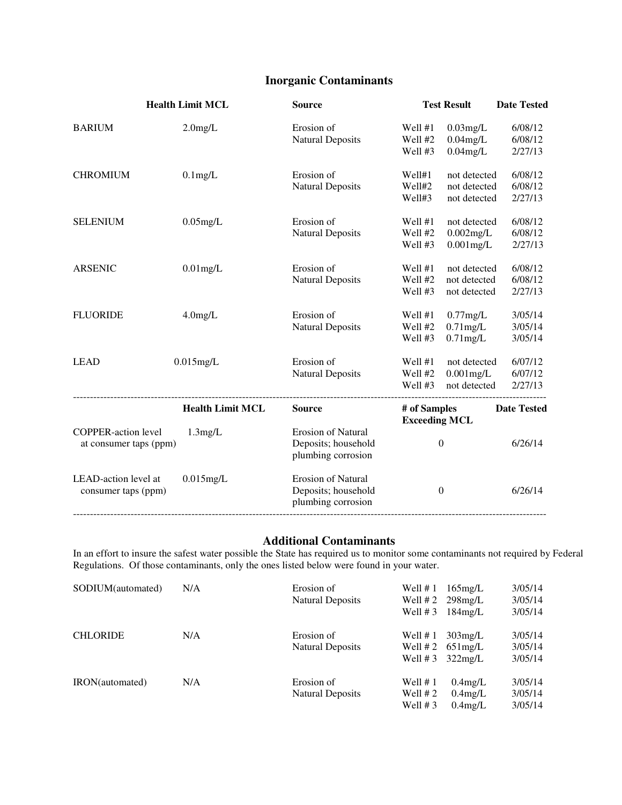# **Inorganic Contaminants**

| <b>Health Limit MCL</b>                              |                         | <b>Source</b>                                                          | <b>Test Result</b>                   |                                              | <b>Date Tested</b>            |  |
|------------------------------------------------------|-------------------------|------------------------------------------------------------------------|--------------------------------------|----------------------------------------------|-------------------------------|--|
| <b>BARIUM</b>                                        | $2.0$ mg/L              | Erosion of<br><b>Natural Deposits</b>                                  | Well #1<br>Well #2<br>Well #3        | $0.03$ mg/L<br>$0.04$ mg/L<br>$0.04$ mg/L    | 6/08/12<br>6/08/12<br>2/27/13 |  |
| <b>CHROMIUM</b>                                      | $0.1$ mg/L              | Erosion of<br><b>Natural Deposits</b>                                  | Well#1<br>Well#2<br>Well#3           | not detected<br>not detected<br>not detected | 6/08/12<br>6/08/12<br>2/27/13 |  |
| <b>SELENIUM</b>                                      | $0.05$ mg/L             | Erosion of<br><b>Natural Deposits</b>                                  | Well #1<br>Well #2<br>Well #3        | not detected<br>$0.002$ mg/L<br>$0.001$ mg/L | 6/08/12<br>6/08/12<br>2/27/13 |  |
| <b>ARSENIC</b>                                       | $0.01$ mg/L             | Erosion of<br><b>Natural Deposits</b>                                  | Well #1<br>Well #2<br>Well #3        | not detected<br>not detected<br>not detected | 6/08/12<br>6/08/12<br>2/27/13 |  |
| <b>FLUORIDE</b>                                      | $4.0$ mg/L              | Erosion of<br><b>Natural Deposits</b>                                  | Well #1<br>Well #2<br>Well #3        | $0.77$ mg/L<br>$0.71$ mg/L<br>$0.71$ mg/L    | 3/05/14<br>3/05/14<br>3/05/14 |  |
| <b>LEAD</b>                                          | $0.015$ mg/L            | Erosion of<br><b>Natural Deposits</b>                                  | Well #1<br>Well #2<br>Well #3        | not detected<br>$0.001$ mg/L<br>not detected | 6/07/12<br>6/07/12<br>2/27/13 |  |
|                                                      | <b>Health Limit MCL</b> | <b>Source</b>                                                          | # of Samples<br><b>Exceeding MCL</b> |                                              | <b>Date Tested</b>            |  |
| <b>COPPER-action level</b><br>at consumer taps (ppm) | $1.3$ mg/L              | <b>Erosion of Natural</b><br>Deposits; household<br>plumbing corrosion |                                      | $\boldsymbol{0}$                             | 6/26/14                       |  |
| LEAD-action level at<br>consumer taps (ppm)          | $0.015$ mg/L            | <b>Erosion of Natural</b><br>Deposits; household<br>plumbing corrosion |                                      | $\boldsymbol{0}$                             | 6/26/14                       |  |

# **Additional Contaminants**

In an effort to insure the safest water possible the State has required us to monitor some contaminants not required by Federal Regulations. Of those contaminants, only the ones listed below were found in your water.

| SODIUM(automated) | N/A | Erosion of              | Well $# 1$ | $165$ mg/L                 | 3/05/14 |
|-------------------|-----|-------------------------|------------|----------------------------|---------|
|                   |     | <b>Natural Deposits</b> | Well # 2   | $298$ mg/L                 | 3/05/14 |
|                   |     |                         | Well $# 3$ | $184$ mg/L                 | 3/05/14 |
| <b>CHLORIDE</b>   | N/A | Erosion of              | Well $# 1$ | $303$ mg/L                 | 3/05/14 |
|                   |     | <b>Natural Deposits</b> |            | Well $#2$ 651 mg/L         | 3/05/14 |
|                   |     |                         |            | Well # $3\frac{322}{mg/L}$ | 3/05/14 |
| IRON(automated)   | N/A | Erosion of              | Well $# 1$ | $0.4$ mg/L                 | 3/05/14 |
|                   |     | <b>Natural Deposits</b> | Well $# 2$ | $0.4$ mg/L                 | 3/05/14 |
|                   |     |                         | Well $# 3$ | $0.4$ mg/L                 | 3/05/14 |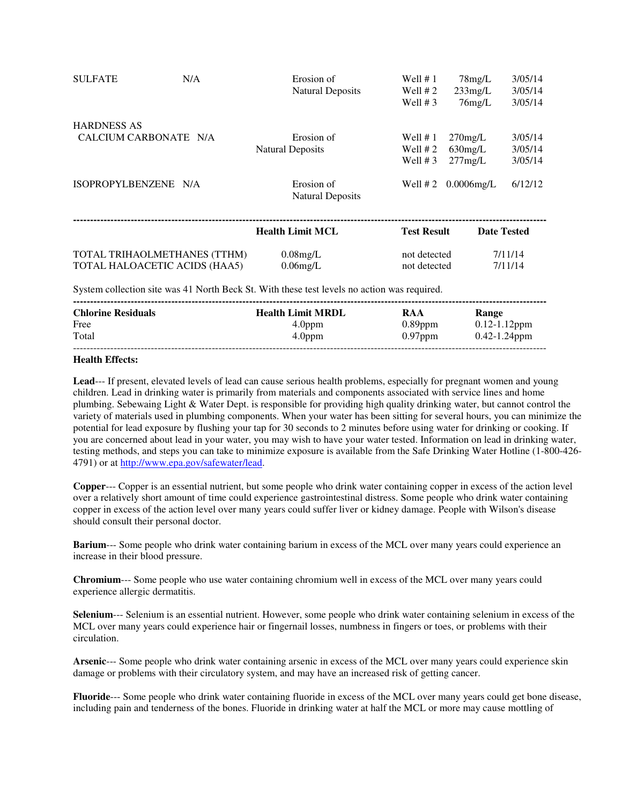| <b>SULFATE</b>                              | N/A                           | Erosion of<br><b>Natural Deposits</b>                                                             | Well $# 1$<br>Well $# 2$                             | $78$ mg/L<br>$233$ mg/L                          | 3/05/14<br>3/05/14                       |
|---------------------------------------------|-------------------------------|---------------------------------------------------------------------------------------------------|------------------------------------------------------|--------------------------------------------------|------------------------------------------|
| <b>HARDNESS AS</b><br>CALCIUM CARBONATE N/A |                               | Erosion of<br><b>Natural Deposits</b>                                                             | Well $# 3$<br>Well $# 1$<br>Well $# 2$<br>Well $# 3$ | $76$ mg/L<br>$270$ mg/L<br>$630$ mg/L<br>277mg/L | 3/05/14<br>3/05/14<br>3/05/14<br>3/05/14 |
| ISOPROPYLBENZENE N/A                        |                               | Erosion of<br><b>Natural Deposits</b>                                                             | Well $# 2$                                           | $0.0006$ mg/L                                    | 6/12/12                                  |
|                                             |                               | <b>Health Limit MCL</b>                                                                           | <b>Test Result</b>                                   |                                                  | <b>Date Tested</b>                       |
|                                             | TOTAL TRIHAOLMETHANES (TTHM)  | $0.08$ mg/L                                                                                       | not detected                                         |                                                  | 7/11/14                                  |
|                                             | TOTAL HALOACETIC ACIDS (HAA5) | $0.06$ mg/L                                                                                       | not detected                                         |                                                  | 7/11/14                                  |
|                                             |                               | <b>Cyprom</b> collection atto was 41 North Dock St. With these test levels no estion was required |                                                      |                                                  |                                          |

System collection site was 41 North Beck St. With these test levels no action was required.

| <b>Chlorine Residuals</b> | <b>Health Limit MRDL</b> | RAA        | Range             |
|---------------------------|--------------------------|------------|-------------------|
| Free                      | 4.0 <sub>ppm</sub>       | $0.89$ ppm | $0.12 - 1.12$ ppm |
| Total                     | 4.0 <sub>ppm</sub>       | $0.97$ ppm | $0.42 - 1.24$ ppm |
|                           |                          |            |                   |

## **Health Effects:**

**Lead**--- If present, elevated levels of lead can cause serious health problems, especially for pregnant women and young children. Lead in drinking water is primarily from materials and components associated with service lines and home plumbing. Sebewaing Light & Water Dept. is responsible for providing high quality drinking water, but cannot control the variety of materials used in plumbing components. When your water has been sitting for several hours, you can minimize the potential for lead exposure by flushing your tap for 30 seconds to 2 minutes before using water for drinking or cooking. If you are concerned about lead in your water, you may wish to have your water tested. Information on lead in drinking water, testing methods, and steps you can take to minimize exposure is available from the Safe Drinking Water Hotline (1-800-426- 4791) or at http://www.epa.gov/safewater/lead.

**Copper**--- Copper is an essential nutrient, but some people who drink water containing copper in excess of the action level over a relatively short amount of time could experience gastrointestinal distress. Some people who drink water containing copper in excess of the action level over many years could suffer liver or kidney damage. People with Wilson's disease should consult their personal doctor.

**Barium**--- Some people who drink water containing barium in excess of the MCL over many years could experience an increase in their blood pressure.

**Chromium**--- Some people who use water containing chromium well in excess of the MCL over many years could experience allergic dermatitis.

**Selenium**--- Selenium is an essential nutrient. However, some people who drink water containing selenium in excess of the MCL over many years could experience hair or fingernail losses, numbness in fingers or toes, or problems with their circulation.

**Arsenic**--- Some people who drink water containing arsenic in excess of the MCL over many years could experience skin damage or problems with their circulatory system, and may have an increased risk of getting cancer.

**Fluoride**--- Some people who drink water containing fluoride in excess of the MCL over many years could get bone disease, including pain and tenderness of the bones. Fluoride in drinking water at half the MCL or more may cause mottling of